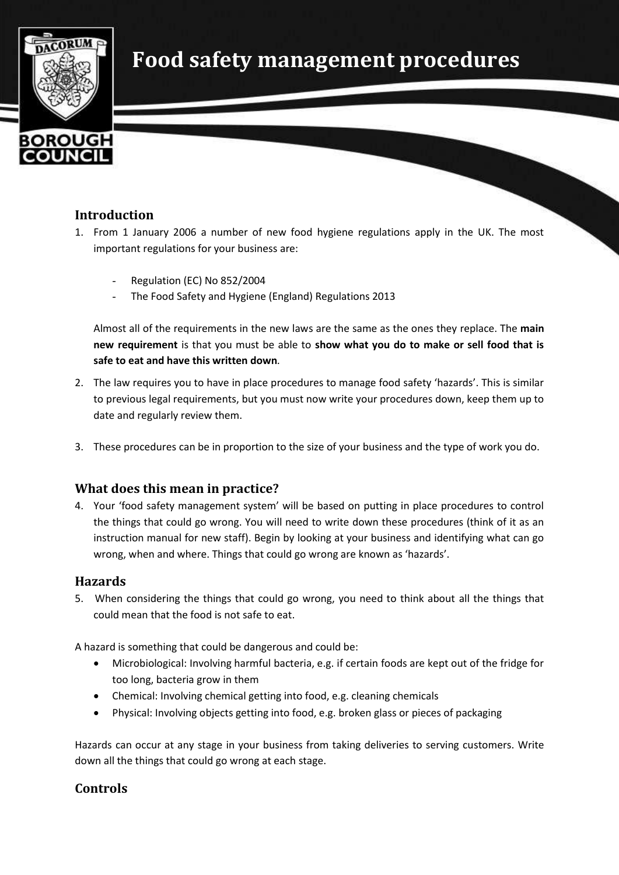



# **Introduction**

- 1. From 1 January 2006 a number of new food hygiene regulations apply in the UK. The most important regulations for your business are:
	- Regulation (EC) No 852/2004
	- The Food Safety and Hygiene (England) Regulations 2013

Almost all of the requirements in the new laws are the same as the ones they replace. The **main new requirement** is that you must be able to **show what you do to make or sell food that is safe to eat and have this written down***.*

- 2. The law requires you to have in place procedures to manage food safety 'hazards'. This is similar to previous legal requirements, but you must now write your procedures down, keep them up to date and regularly review them.
- 3. These procedures can be in proportion to the size of your business and the type of work you do.

# **What does this mean in practice?**

4. Your 'food safety management system' will be based on putting in place procedures to control the things that could go wrong. You will need to write down these procedures (think of it as an instruction manual for new staff). Begin by looking at your business and identifying what can go wrong, when and where. Things that could go wrong are known as 'hazards'.

#### **Hazards**

5. When considering the things that could go wrong, you need to think about all the things that could mean that the food is not safe to eat.

A hazard is something that could be dangerous and could be:

- Microbiological: Involving harmful bacteria, e.g. if certain foods are kept out of the fridge for too long, bacteria grow in them
- Chemical: Involving chemical getting into food, e.g. cleaning chemicals
- Physical: Involving objects getting into food, e.g. broken glass or pieces of packaging

Hazards can occur at any stage in your business from taking deliveries to serving customers. Write down all the things that could go wrong at each stage.

# **Controls**